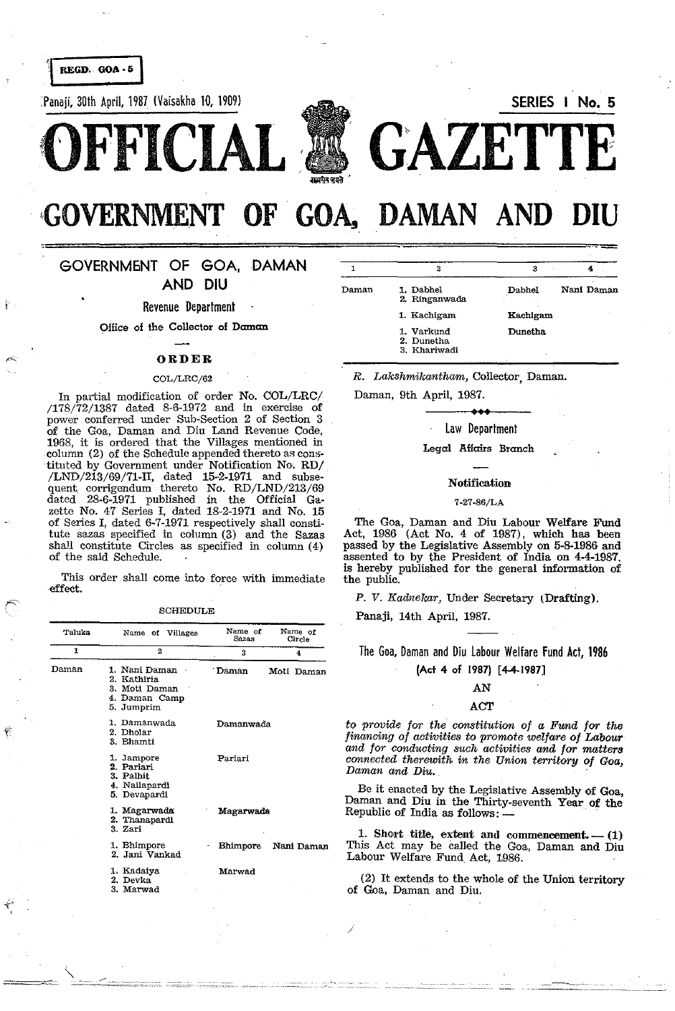REGD. GOA - 5

Panaji, 30th April, 1987 (Vaisakha 10, 1909) SERIES I No. 5





GOVERNMENT OF GOA, DAMAN AND

o================~============================

## GOVERNMENT OF GOA, DAMAN AND DIU

Revenue Department

Office of the Collector of Daman

### ORDER

#### COL/LRC/62

In partial modification of order No. COL/LRC/ /178/72/1387 dated 8·6-1972 and in exercise of power conferred under Sub-Section 2 of Section 3 of the Goa, Daman and Diu Land Revenue Code, 1968, it is ordered that the Villages mentioned in column (2) of the Schedule appended thereto as cons- ·tituted by Government under Notification No. RD/  $/LND/213/69/71-II$ , dated 15-2-1971 and subsequent corrigendum thereto No. RD/LND/213/69 dated 28-6-1971 published in the Official Gazette No. 47 Series I, dated 18-2-1971 and No. 15 of Series I, dated 6-7-1971 respectively shall constitute sazas specified in column (3) and the Sazas shaH constitute Circles as specified in column (4) of the said Schedule.

This order shall come into force with immediate effect.

SCHEDULE

| Taluka | Name of Villages                                                             | Name of<br>Sazas | Name of<br>Circle |
|--------|------------------------------------------------------------------------------|------------------|-------------------|
| 1      | $\boldsymbol{2}$                                                             | 3                | 4                 |
| Daman  | 1. Nani Daman<br>2. Kathiria<br>3. Moti Daman<br>4. Daman Camp<br>5. Jumprim | Daman            | Moti Daman        |
|        | 1. Damanwada<br>2. Dholar<br>3. Bhamti                                       | Damanwada        |                   |
|        | 1. Jampore<br>2. Pariari<br>3. Palhit<br>4. Nailapardi<br>5. Devapardi       | Pariari          |                   |
|        | 1. Magarwada<br>2. Thanapardi<br>3. Zari                                     | Magarwada        |                   |
|        | 1. Bhimpore<br>2. Jani Vankad                                                | <b>Bhimpore</b>  | Nani Daman        |
|        | 1 Kadaiya<br>2. Devka<br>3. Marwad                                           | Marwad           |                   |

 $\hat{\mathbf{y}}_i$ 

| Daman | 1. Dabhel<br>2. Ringanwada               | Dabhel   | Nani Daman |
|-------|------------------------------------------|----------|------------|
|       | 1. Kachigam                              | Kachigam |            |
|       | 1. Varkund<br>2. Dunetha<br>3. Khariwadi | Dunetha  |            |

**OFFICIAL GAZETTE** 

*R. Lakshmikantham,* Collector, Daman.

Daman, 9th April, 1987.

## law Department

Legal Affairs Branch

#### Notification

#### 7-27-86/LA

The Goa, Daman and Diu Labour Welfare Fund Act, 1986 (Act No. 4 of 1987), which has been passed by the Legislative Assembly on 5-8-1986 and assented to by the President of India on 4-4-1987. is hereby published for the general information of the public.

P. V. Kadnekar, Under Secretary (Drafting).

Panaji, 14th April, 1987.

/

The Goa, Daman and Diu labour Welfare Fund Act, 1986

(Act 4 of 1987) [4-4-1987]

#### AN

## ACT

to *provide for the constituticm of a Fund for the financing of activities* to *promote welfare of Labour and for conducting such activities and for matters connected therewith in the Union territory of Goa, Daman and Diu. .* 

Be it enacted by the Legislative Assembly of Goa, Daman and Diu in the Thirty-seventh Year of the Republic of India as follows: —

1. Short title, extent and commencement.  $- (1)$ This Act may be called the Goa, Daman and Diu Labour Welfare Fund Act, 1986.

(2) It extends to the whole of the Union territory of Goa, Daman and Diu.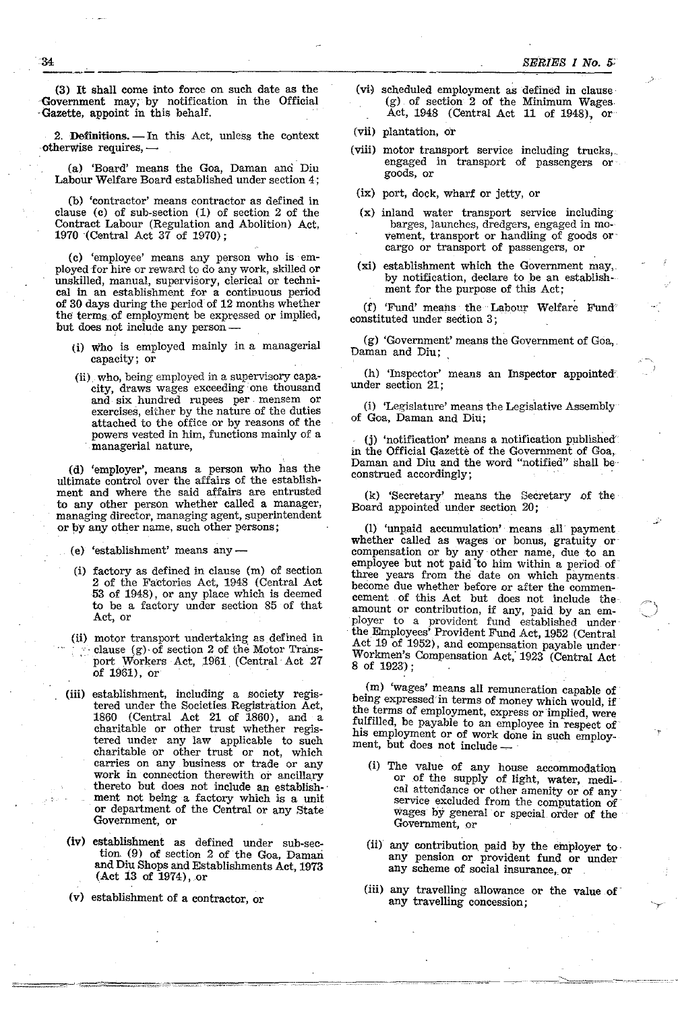$\frac{34}{2}$  . The shall come into force on math data or the  $\left(\frac{-1}{2}\right)$  relatively (3) **It** shall come into force on such date as the Government may; by notification in the Official . Gazette, appoint in this behalf.

2. Definitions.  $\qquad$  In this Act, unless the context otherwise requires,-

(a) 'Board' means the Goa, Daman ana Diu Labour Welfare Board established under section 4;

(b) 'contractor' means contractor as defined in clause (c) of sub-section (1) of section 2 of the Contract Labour (Regulation and Abolition) Act, 1970 (Central Act 37 of 1970);

(c) 'employee' means any person who is employed for hire or reward to do any work, skilled or unskilled, manual, supervisory, clerical or technical in an establishment for a continuous period of 30 days during the period of 12 months whether the terms of employment be expressed or implied, but does not include any person-

- (i) who is employed mainly in a managerial capacity; or
- (ii) who, being employed in a supervisory capacity, draws wages exceeding one thousand and six hundred rupees per mensem or exercises, either by the nature of the duties attached to the office or by reasons of the powers vested in him, functions mainly of a , managerial nature,

(d) 'employer', means a person who has the ultimate control over the affairs of the establishment and where the said affairs are entrusted to any other person whether called a manager, managing director, managing agent, superintendent or by any other name, such other persons;

(e) 'establishment' means any-

- (i) factory as defined in clause (m) of section 2 of the Factories Act, 1948 (Central Act 53 of 1948), or any place which is deemed to be a factory under section 85 of that Act, or
- (ii) motor transport undertaking as defined in . clause (g) of section 2 of the Motor Transport Workers Act, 1961 (Central Act 27 of 1961), or
- (iii) establishment, including a society registered under the Societies, Registration Act, 1860 (Central Act 21 of 1860), and a charitable or other trust whether registered under any law applicable to such charitable or other trust or not, which carries on any business or trade or any work in connection therewith or ancillary thereto but does not include an establish-' ment not being a factory which is a unit or department of the Central or any State Government, or
- (iv) establishment as defined under sub-section. (9) of section 2 of the Goa, Daman and Diu Shops and Establishments Act, 1973  $($ Act 13 of 1974), or
- (v) establishment of a contractor, or
- (vi) scheduled employment as defined in clause (g) of section 2 of the Minimum Wages Act, 1948 (Central Act 11 of 1948), or
- (vii) plantation, or
- (viii) motor transport service including trucks,. engaged in transport of passengers or goods, or
- (ix) port, dock, wharf or jetty, or
- (x) inland water transport service including barges, launches, dredgers, engaged in movement, transport or handling of goods or cargo or transport of passengers, or
- (xi) establishment which the Government may,. by notification, declare to be an establishment for the purpose of this Act;

(f) 'Fund' means the" Labour Welfare Fund constituted under section 3;

 $(g)$  'Government' means the Government of Goa,. Daman and Diu;

(h) 'Inspector' means an Inspector appointed' under section 21;

(i) 'Legislature' means the Legislative Assembly of Goa, Daman and Diu;

. (j) 'notification' means a notification published in the Official Gazette of the Government of Goa, Daman and Diu and the word "notified" shall be' construed accordingly; .

(k) 'Secretary' means the Secretary of the Board appointed under section 20;

28

(I) 'unpaid accumulation" means all' payment whether called as wages or bonus, gratuity or compensation or by any other name, due to an employee but not paid 'to him within a period of' three years from the date on which payments, become due whether before or after the commencement of this Act but does not include the' amount or contribution, if any, paid by an employer to a provident fund established under the Employees' Provident Fund Act, 1952 (Central Act 19 of 1952), and compensation payable under' Workmen's Compensation Act, 1923 (Central Act 8 of 1923);

(m) 'wages' means all remuneration capable of' being expressed'in terms of money which would, if the terms of employment, express or 'implied, were fulfilled, be payable to an employee in respect of his employment or of work done in such employment, but does not include ---

- (i) The value of any house accommodation or of the supply of light, water, medi-, cal atteridance or other amenity or of any service excluded from the computation of' wages by general or special order of the Government, or
- (ii) any contribution paid by the employer to any pension or provident fund or under any scheme of social insurance, or
- (iii) any travelling allowance or the value of' any travelling concession;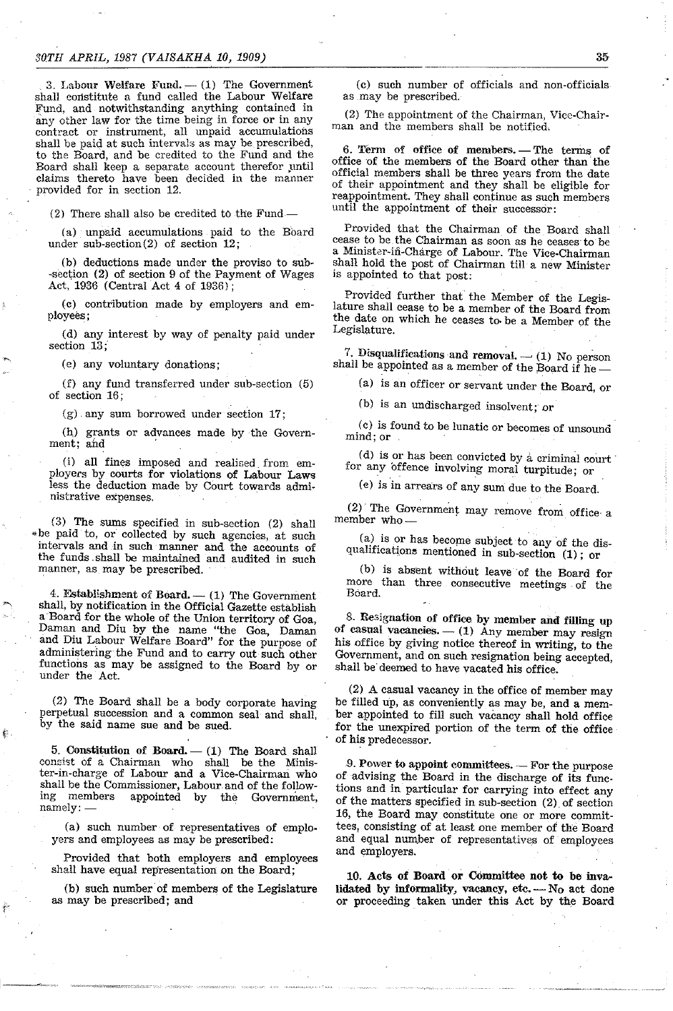3. Labour Welfare Fund.  $-$  (1) The Government shall constitute a fund called the Labour Welfare Fund, and notwithstanding anything contained in any other law for the time being in force or in any contract or instrument, all unpaid accumulations shall be paid at such intervals as may be prescribed, to the Board, and be credited to the Fund and the Board shall keep a separate account therefor until claims thereto have been decided in the manner provided for in section 12.

(2) There shall also be credited to the Fund-

(a) unpaid accumulations paid to the Board under sub-section (2) of section 12;

(b) deductions made under the proviso to sub- -section (2) of section 9 of the Payment of Wages Act, 1936 (Central Act 4 of 1936);

(c) contribution made by employers and employees;

(d) any interest by way of penalty paid under section 13;

(e) any voluntary donations;

 $(f)$  any fund transferred under sub-section  $(5)$ of section 16;

(g). any sum borrowed under section 17;

(b) grants or advances made by the Govern**ment; and** '

(i) all fines imposed and realised from employers by courts for violations of Labour Laws less the deduction made by Court towards administrative expenses.

(3) The sums specified in sub-section (2) shall • be paid to, or collected by such agencies, at such intervals and.in such manner and the accounts of the funds. shall be maintained and audited in such manner, as may be prescribed.

4. Establishment of Board.  $-$  (1) The Government shall, by notification in the Official Gazette establish aBoard for the whole of the Union territory of Goa, Daman and Diu by the name "the Goa, Daman and Diu Labour Welfare Board" for the purpose of administering the Fund and to carry out such other functions as may be assigned to the Board by or under the Act.

(2) The Board shall be a body corporate having perpetual succession and a common seal and shall, by the said name sue and be sued.

 $5.$  Constitution of Board.  $-$  (1) The Board shall consist of a Chairman who shall be the Minister-in-charge of Labour and a Vice-Chairman who shall be the Commissioner, Labour and of the follow-<br>ing members appointed by the Government, the Government, **namely:** -

(a) such number of representatives of employers and employees as may be prescribed:

Provided that both employers and employees shall have equal representation on the Board;

(b) such number'of members of the Legislature as may be prescribed; and

(c) such number of officials and non-officials as may be prescribed.

(2) The appointment of the Chairman, Vice-Chairman and the members shall be notified,

6. Term of office of members. - The terms of office of the members of the Board other than· the official members shall be three years from the date of their appointment and they shall be eligible for reappointment. They shall continue as such members until the appointment of their successor:

Provided that the Chairman of the Board shall cease to be the Chairman as soon as he ceases· to be a Minister-in-Charge of Labour. The Vice-Chairman shall hold the post of Chairman till a new Minister is appointed to that post:

Provided further that the Member of the Legislature shall cease to be a member of the Board from the date on which he ceases to. be a Member of the Legislature.

7. Disqualifications and removal.  $-$  (1) No person shall be appointed as a member of the Board if he-

(a) is an officer or servant under the Board, or

(b) is an undischarged insolvent; or

(c) is found to be lunatic or becomes of unsound **mind; or** 

(d) is or has been convicted by a criminal court for any offence involving moral turpitude; or

(e) is in arrears of any sum due to the Board.

(2) The Government may remove from office a member who-

(a) is or has become subject to any of the disqualifications mentioned in sub-section  $(1)$ ; or

(b) is absent without leave of the Board for more than three consecutive meetings. of the Board.

8. Resignation of office by member and filling up of casual vacancies.  $- (1)$  Any member may resign his office by giving notice thereof in writing, to the Government, and on such resignation being accepted, shall be deemed to have vacated his office.

(2) A casual vacancy in the office of member may be filled up, as conveniently as may be, and a member appointed to fill such vacancy shall hold office for the unexpired portion of the term of the office of his predecessor.

 $9.$  Power to appoint committees.  $-$  For the purpose of advising the Board in the discharge of its functions and in particular for carrying into effect any of the matters specified in sub-section (2). of section 16, the Board may constitute one or more committees, consisting of at least one member of the Board and equal number of representatives of employees and employers.

10. Acts of Board or Committee not to be invalidated by informality, vacancy, etc.  $-$  No act done or proceeding taken under this Act by the Board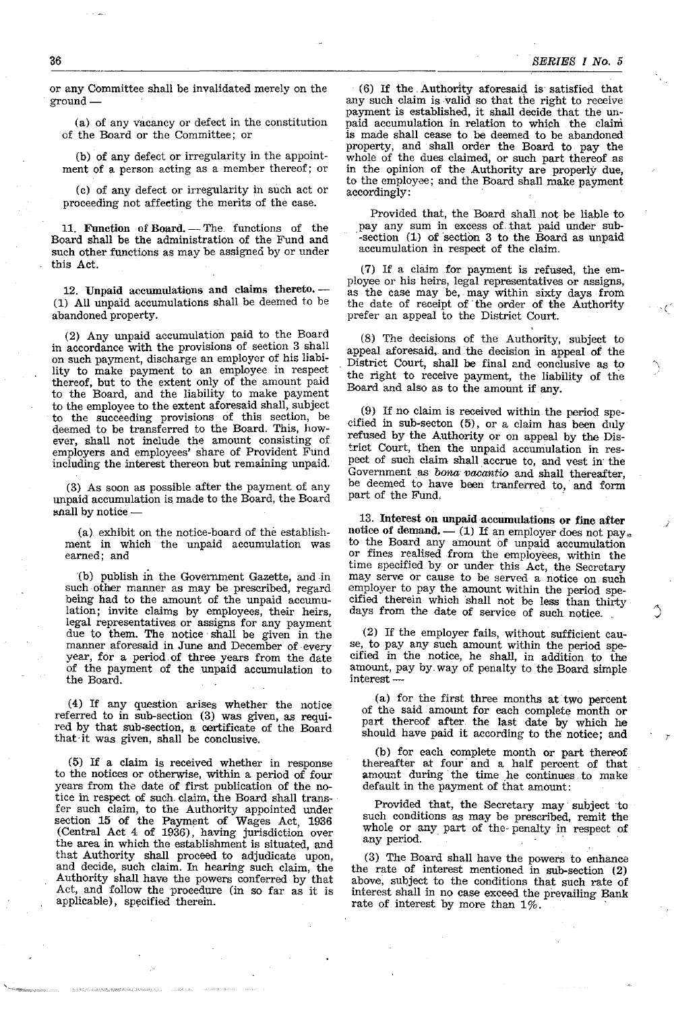or any Committee shall be invalidated merely on the ground-

(a) of any vacancy or defect in the constitution of the Board or the Committee; or

(b) of any defect or irregularity in the appointment of a person acting as a member thereof; or

(c) of any defect or irregularity in such act or proceeding not affecting the merits of the case.

11. Function of Board. - The. functions of the Board shall be the administration of the Fund and such other functions as may be assigned by or under this Act.

12. Unpaid accumulations and claims thereto. -(1) All unpaid accumulations shall be deemed to be abandoned property.

(2) Any unpaid accumulation paid to the Board in accordance with the provisions of section 3 shall on such payment, discharge an employer of his liability to make payment to an employee in respect thereof, but to the extent only of the amount paid to the Board, and the liability to make payment to the employee to the extent aforesaid shall, subject to the succeeding provisions of this section, be deemed to be transferred to the Board. This, however, shall not include the amount consisting of employers and employees' share of Provident Fund including the interest thereon but remaining unpaid.

(3) As soon as possible after the payment of any unpaid accumulation is. made to the Board, the Board shall by notice

(a). exhibit on the notice-board of the establishment in which the unpaid accumulation was earned; and

(b) publish in the Government Gazette, and in such other manner as may be prescribed, regard being had to the amount of the unpaid accumulation; invite claims by employees, their heirs, legal representatives or assigns for any payment due to them. The notice' shall be given in the manner aforesaid in June and December of every year, for a period. of three years from the date of the payment of the unpaid accumulation to the Board.

(4) If any question arises whether the notice referred to in sub-section (3) was given, as required by that sub'section, a certificate of the Board that it was given, shall be conclusive.

(5) If a claim is received whether in response to the notices or otherwise, within a period of four years from the date of first publication of the notice in respect of such claim, the Board shall transfer such claim, to the Authority appointed under section 15 of the Payment of Wages Act, 1936 (Central Act 4 of 1936), having jurisdiction over the area in which the establishment is situated, and that Authority shall proceed to adjudicate upon, and decide, such claim. In hearing such claim, the Authority shall have the powers conferred by that Act, and follow the procedure (in so far as it is applicable), specified therein.

(6) If the. Authority aforesaid is satisfied that any such claim is valid so that the right to receive payment is established, it shall decide that the unpaid accumulation in relation to which the claim is made shall cease to he deemed to be abandoned property, and shall order the Board to pay the whole of the dues claimed, or such part thereof as in the opinion of the Authority are properly due, to the employee; and the Board shall make payment accordingly: .

Provided that, the Board shall not be liable to pay any sum in excess of that paid under sub-section (1) of section 3 to the Board as unpaid accumulation in respect of the claim.

(7) If a clium for payment is refused, the employee or his heirs, legal representatives or assigns, as the case may be, may within sixty days from the date of receipt of' the order of the Authority prefer an appeal to the District Court.

(8) The decisions of the Authority, subject to appeal aforesaid, and the decision in appeal of the District Court, shall he final and conclusive as to the right to receive payment, the liability of the Board and also as to the amount if any.

(9) If no claim is received within the period specified in sub-secton (5), or a claim has been duly refused by the Authority or on appeal by the Dis trict Court, then the unpaid accumulation in respect of such claim shall accrue to, and vest in' the Government as *bona; vacantia* and shall thereafter, be deemed to have been tranferred to,' and form part of the Fund.

13. Interest on unpaid accumulations or fine after notice of demand.  $-$  (1) If an employer does not pay.<br>to the Board any amount of unpaid accumulation or fines realised from the employees, within the time specified by or under this Act, the Secretary may serve or cause to be served a notice on such employer to pay the amount within the period specified therein which 'shall not be less than thirty days from the date of service of such notice.

(2) If the employer fails, without sufficient cause, to pay any such amount within the period specified in the notice, he shall, in addition to the amount, pay by. way of penalty to the Board simple interest-

(a) for the first three months at two percent of the said' amount for each complete month or part thereof after the last date by which he should have paid it according to the notice; and

(b) for each complete month or part thereof thereafter at four' and a half percent of that amount during the time he continues to make default in the payment of that amount:

Provided that, the Secretary may subject to such conditions as may be prescribed, remit the whole or any part of the- penalty in respect of any period.

(3) The Board shall have the powers to enhance the rate of interest mentioned in sub-section (2) above, subject to the conditions that such rate of interest shall in no case exceed the prevailing Bank rate of interest by more than  $1\%$ .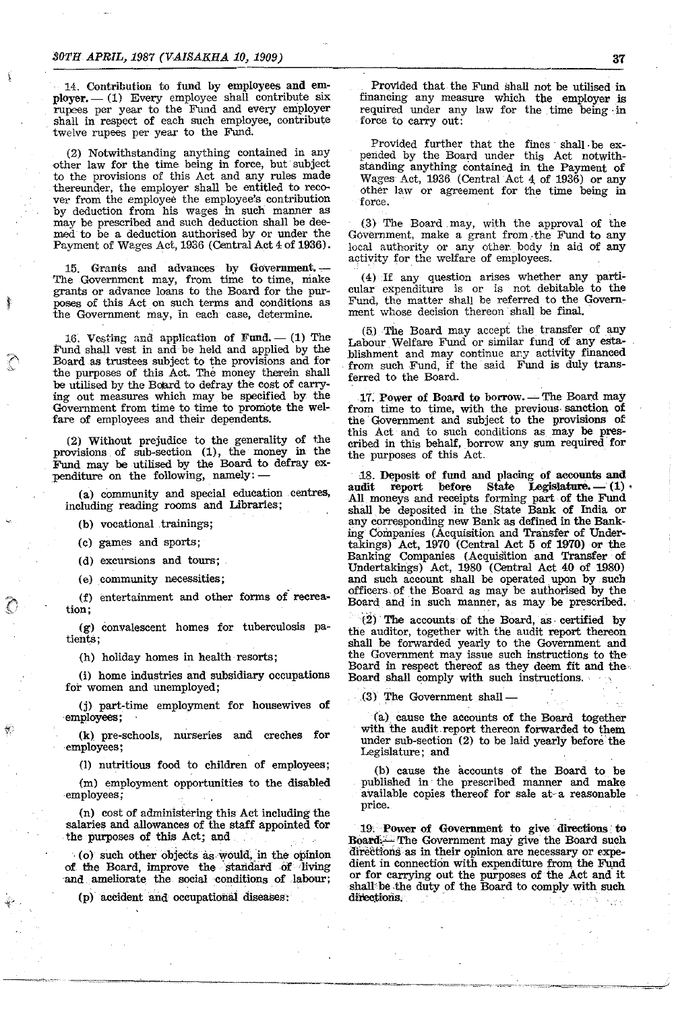14. Contribution to fund by employees and employer. - (1) Every employee shall contribute six rupees per year to the Fund and every employer shall in respect of each such employee, contribute twelve rupees per year to the Fund.

(2) Notwithstanding anything contained in any other law for the time being in force, but subject to the provisions of this Act and any rules made thereunder, the employer shall be entitled to recover from the employee the employee's contribution by deduction from his wages in such manner as may be prescribed and such deduction shall be deemed to be a deduction authorised by or under the Payment of Wages Act, 1936 (Central Act 4 of 1936).

15. Grants and advances by Government. The Government may, from time to time, make grants or advance loans to the Board for the purposes of this Act on such terms and conditions as the Government may, in each case, determine.

16. Vesting and application of Fund.  $-$  (1) The Fund shall vest in and be held and applied by the Board as trustees subject to the provisions and for the purposes of this Act. The money therein shall be utilised by the Board to defray the cost of carrying out measures which may be specified by the Government from time to time to promote the welfare of employees and their dependents.

 $(2)$  Without prejudice to the generality of the provisions of sub-section (1), the money in the Fund may be utilised by the Board to defray expenditure on the following, namely:-

(a) community and special education centres, including reading rooms and Libraries;

(b) vocational trainings;

(c) games and sports;

(d) excursions and tours;

(e) community necessities;

(f) entertainment and other forms of recrea**tion;** 

(g) convalescent homes for tuberculosis patients;

(h) holiday homes in health resorts;

(i) home industries and subsidiary occupations for women and unemployed;

(j) part-time employment for housewives of employees;

(k) pre-schools, nurseries and creches for employees;

(I) nutritious food to children of employees;

(m) employment opportunities to the disabled employees;

(n) cost of administering this Act including the salaries and allowances of the staff appointed for the purposes of this Act; and

(o) such other objects as would, in the opinion of the Board, improve the standard of living and ameliorate the social conditions of labour;

(p) accident and occupational diseases:

Provided that the Fund shall not be utilised in financing any measure which the employer is required under any law for the time being·in force to carry out:

~~----------------------------------~

Provided further that the fines shall be expended by the Board under this Act notwithstanding anything contained in the Payment of Wages Act, 1936 (Central Act 4 of 1936) or any other law or agreement for the time being in force.

(3) The Board may, with the approval of the Government, make a grant from. the Fund to any local authority or any other. body in aid of any activity for the welfare of employees.

(4) If any question arises whether anyparticular expenditure is or is not debitable to the Fund, the matter shall be referred to the Government whose decision thereon· shall be final.

(5) The Board may accept the. transfer of any Labour Welfare Fund or similar fund of any establishment and may continue any activity financed from such Fund, if the said Fund is duly transferred to the Board.

17. Power of Board to borrow. - The Board may from time to time, with the previous sanction of the Government and subject to the provisions of this Act and to such conditions as may be prescribed in this behalf, horrow any sum required· for the purposes of this Act.

18. Deposit of fund and placing of accounts and audit report before State Legislature. (1) before State Legislature.  $- (1)$ All moneys and receipts forming part of the Fund shall be deposited in the State Bank of India or any corresponding new Bank as defined in the Banking Companies (Acquisition and Transfer of Undertakings) Act, 1970 (Central Act 5 of 1970) or the Banking Companies (Acquisition and Transfer of Undertakings) Act, 1980 (Central Act 40 of 1980) and such account shall be operated upon by such officers of the Board as may be authorised by the Board and in such manner, as may be prescribed.

(2) The accounts of the Board, as· certified by the auditor, together with the audit report thereon shall be forwarded yearly to the Government and the Government may issue such instructions to the Board in respect thereof as they deem fit and the. Board shall comply with such instructions ..

 $(3)$  The Government shall  $-$ 

(a) cause the accounts of the Board together with the audit. report thereon forwarded to them under sub-section (2) to be laid yearly before the Legislature; and

(b) cause the accounts of the Board to be published in· the prescribed manner and make available copies thereof for sale at~a reasonable price.

19, Power of Government to give directions· to Board,-The Government may give the Board such directions as in their opinion are necessary or expedient in connection with expenditure from the Fund or for carrying out the purposes of the Act and it shall be the duty of the Board to comply with such directions.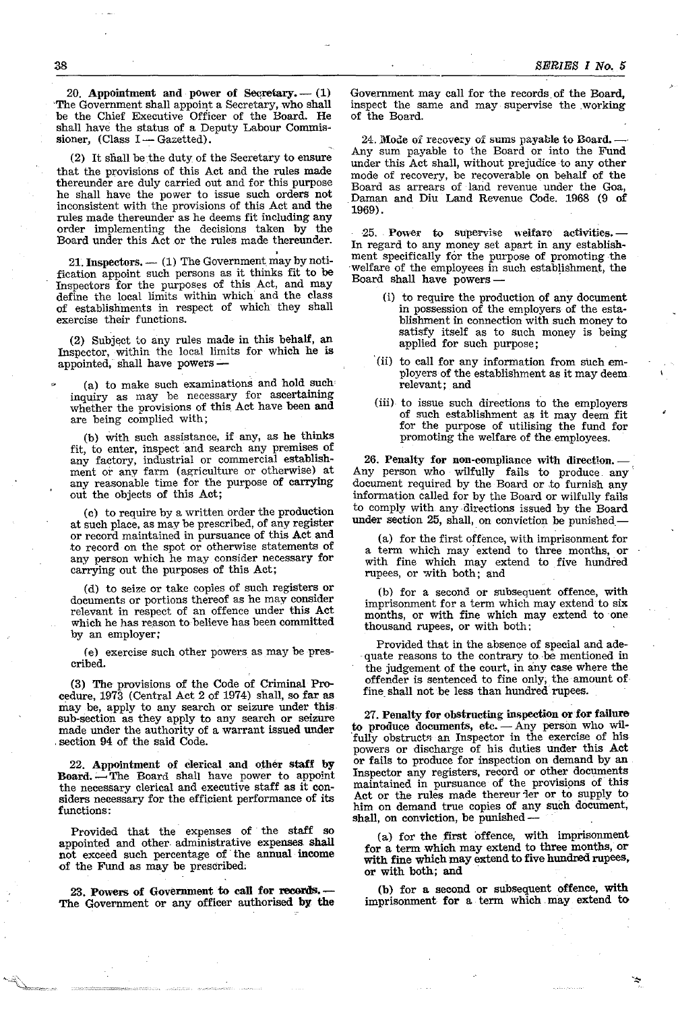20. Appointment and power of Secretary.  $-$  (1) 'The Government shall appoint a Secretary, who shall be the Chief Executive Officer of the Board. He shall have the status of a Deputy Labour Commissioner,  $(Class I - Gazetted).$ 

(2) It shall be the duty of the Secretary to ensure that the provisions of this Act and the rules made thereunder are duly carried out and for this purpose he shall have the power to issue such orders not inconsistent with the provisions of this Act and the rules made thereunder as he deems fit including any order implementing the decisions taken by the Board under this Act or the rules made thereunder.

21. Inspectors. - (1) The Government may by notification appoint such persons as it thinks fit to be Inspectors for the purposes of this Act, and may define the local limits within which and the class of establishments in respect of which they shall exercise their functions.

(2) Subject to any rules made in this behalf, an Inspector, within the local limits for which he is appointed, shall have powers-

(a) to make such examinations and hold such inquiry as may be necessary for ascertaining whether the provisions of this Act have been and are being complied with;

(b) with such assistance, if any, as he thinks fit, to enter, inspect and search any premises of any factory, industrial or commercial establishment or any farm (agriculture or otherwise) at any reasonable time for the purpose of carrying out the objects of this Act;

(c) to require by a written order the production at such place, as may be prescribed, of any register or record maintained in pursuance of this Act and to record on the spot or otherwise statements of any person which he may consider necessary for carrying out the purposes of this Act;

(d) to seize or take copies of such registers or documents or portions thereof as he may consider relevant in respect of an offence under this Act which he has reason to believe has been committed by an employer;

(e) exercise such other powers as may be prescribed.

(3) The provisions of the Code of Criminal Procedure, 1973 (Central Act 2 of 1974) shall, so far as may be, apply to any search or seizure under this· sub-section as they apply to any search or seizure made under the authority of a warrant issued under , section 94 of the said Code.

22. Appointment of clerical and other staff by Board. -- The Board shall have power to appoint the necessary clerical and executive staff as it considers necessary for the efficient performance of its functions:

Provided that the expenses of the staff so appointed and other administrative expenses shall not exceed such percentage of the annual income of the Fund as may be prescribed;

23. Powers of Government to call for records.- The Government or any officer authorised by the Government may call for the records of the Board, mspect the same and may supervise the working of the Board.

24. Mode of recovery of sums payable to Board. -Any sum payable to the Board or into the Fund under this Act shall, without prejudice to any other mode of recovery, be recoverable on behalf of the Board as arrears of land revenue under the Goa, Daman and Diu Land Revenue Code. 1968 (9 of 1969). .

·25 .. Power to supervise welfare activities. - In regard to any money set apart in any establishment specifically for the purpose of promoting the welfare of the employees in such establishment, the Board shall have powers -

- (i) to require the production of any document in possession of the employers of the establishment in connection with such money to satisfy itself as to such money is being applied for such purpose; ,
- '(ii) to call for any information from silch employers of the establishment as it may deem relevant; and
- (iii) to issue such directions to the employers of such establishment as it may deem fit for the purpose of utilising the fund for promoting the welfare of the employees.

26. Penalty for non-compliance with direction.- Any person who wilfully fails to produce any document reqUIred by the Board or to furnish any information called for by the Board or wilfully fails to comply. WIth any directions issued by the Board under section 25, shall, on conviction be punished.

(a) for the first offence, with imprisonment for a term which may extend to three months, or with fine which may extend to five hundred rupees, or with both; and

(b) for a second or subsequent offence, with imprisonment for a term which may extend to six months, or with fine which may extend to one thousand rupees, or with both: .

Provided that in the absence of special and ade-quate reasons to the contrary to be mentioned in the judgement of the court, in any case where the offender is sentenced to fine only; the amount of. fine shall not be less than hundred rupees.

27. Penalty for obstructing inspection or for failure to produce documents, etc.  $-\text{Any person who will-}$ fully obstructs an Inspector in the exercise of his powers or discharge of his duties under this Act or fails to produce for inspection on demand by an Inspector any registers, record or other documents maintained in pursuance of the provisions of this Act or the rules made thereur ler or to supply to him on demand true copies of any such document, shall, on conviction, be punished-

(a) for the first offence, with imprisonment for a term which may extend to three months, or with fine which may extend to five hundred rupees, or with both; and

(b) for a second or subsequent offence, with imprisonment for a term which. may extend to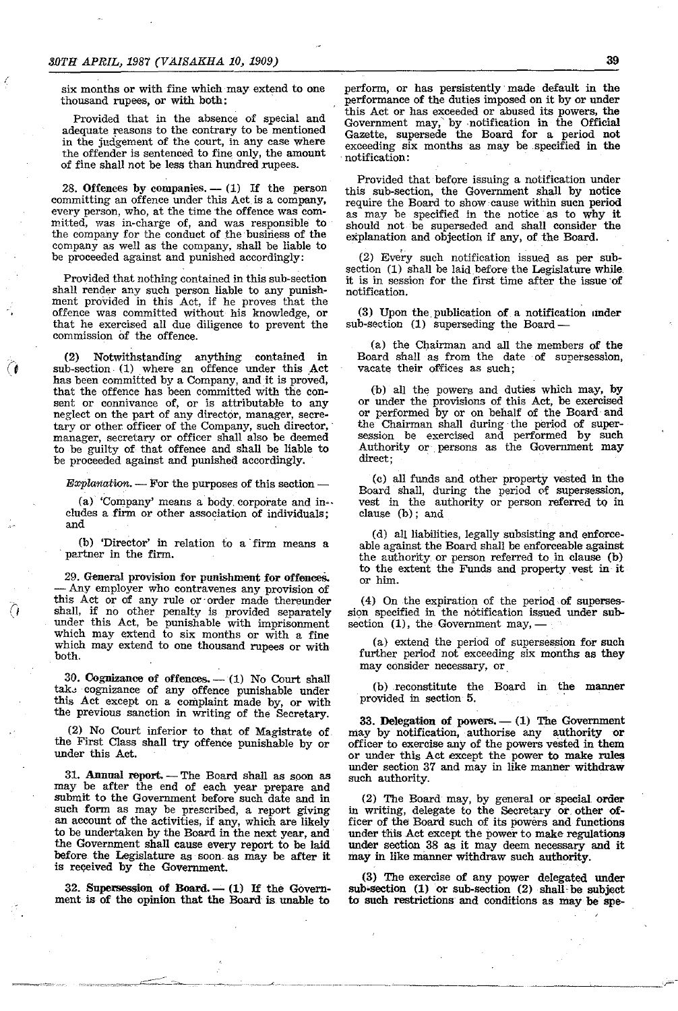(

six months or with fine which may extend to one thousand rupees, or with both:

Provided that in the absence of special and adequate reasons to the contrary to be mentioned in the judgement of the court, in any case where the offender is sentenced to fine only, the amount of fine shall not be less than hundred rupees.

28. Offences by companies.  $- (1)$  If the person committing an offence under this Act is a company, every person, who, at the time the offence was com-<br>mitted, was in-charge of, and was responsible to the company for the conduct of the business of the company as well as the company, shall be liable to be proceeded against and punished accordingly:

Provided that nothing contained in this sub-section shall render any such person liable to any punishment provided in this Act, if he proves that the offence was committed without his knowledge, or that he exercised all due diligence to prevent the commission of the offence.

(2) Notwithstanding anything contained in sub-section. (1) where an offence under this Act has been committed by a Company, and it is proved, that the offence has been committed with the consent or connivance of, or is attributable to any neglect on the part of any director, manager, secretary or other officer of the Company, such director, manager, secretary or officer shall also be deemed to be guilty of that offence and shall be liable to be proceeded against and punished accordingly.

 $Explanation$ .  $-$  For the purposes of this section -

(a) 'Company' means a body. corporate and in·· cludes a firm or other association of individuals; and

(b) 'Director' in relation to a firm means a partner in the firm.

29. General provision for punishment for offences.<br>- Any employer who contravenes any provision of this Act or of any rule or' order made thereunder shall, if no other penalty is provided separately under this Act, be punishable with imprisonment which may extend to six months or with a fine which may extend to one thousand rupees or with both.

30. Cognizance of offences. - (1) No Court shall tak<sub>3</sub> cognizance of any offence punishable under this Act except on a complaint made by, or with the previous sanction in writing of the Secretary.

(2) No Court inferior to that of Magistrate of the First Class shall try offence punishable by or under this Act.

31. Annual report. - The Board shall as soon as may be after the end of each year prepare and submit to the Government before such date and in such form as may be prescribed, a report giving an account of the activities, if any, which are likely to be undertaken by the Board in the next year, and the Government shall cause every report to be laid before the Legislature as soon as may be after it is reqeived by the Government.

 $32.$  Supersession of Board.  $- (1)$  If the Government is of the opinion that the Board is. unable to

perform, or has persistently' made default in the performance of the duties imposed on it by or under this Act or has exceeded or abused its powers, the Government may,' by ,notification in the Official Gazette, supersede the Board for a period not exceeding six months as may be specified in the notification:

Provided that before issuing a notification under this sub-section, the Government shall by notice require the Board to show cause within sucn period as may be specified in the notice' as to why it should not be superseded and shall consider the explanation and objection if any, of the Board.

(2) Every such notification issued as per sube section (1) shall be laid before the Legislature while it is in session for the first time after the issue 'of notification.

(3) Upon the publication of a notification under sub-section (1) superseding the Board-

(a) the Chairman and all the members of the Board shall as from the date of supersession, vacate their offices as such;

(b) all the powers and duties which may, by or under the provisions of this Act, be exercised or performed by or on behalf of the Board· and the Chairman shall during the period of supersession be exercised and performed by such Authority or persons as the Government may direct;

(c) all funds and other property vested in the Board shall, during the period of supersession, vest in the authority or person referred to in clause (b); and

(d) all liabilities, legally subsisting and enforceable against the Board shall be enforceable against the authority. or person referred to in clause (b) to the extent the Funds and property vest in it or him.

(4) On the expiration of the period of supersession specified in the notification issued under subsection  $(1)$ , the Government may, —

(a) extend the period of supersession for such further period not exceeding six months as they may consider necessary, or

(b) reconstitute the Board in the manner provided in section 5.

33. Delegation of powers.  $- (1)$  The Government may by notification, authorise any authority or officer to exercise any of the powers vested in them or under this Act except the power to make rules under section 37 and may in like manner withdraw such authority.

(2) The Board may, by general or special. order in writing, delegate to the Secretary or. other officer of the Board such of its powers and functions under this Act except the power to make regulations under section. 38 as it may deem necessary and it may in like manner withdraw such authority.

(3) The exercise of any power delegated under sub-section (1) or sub-section (2) shall be subject to such restrictions and conditions as may be spe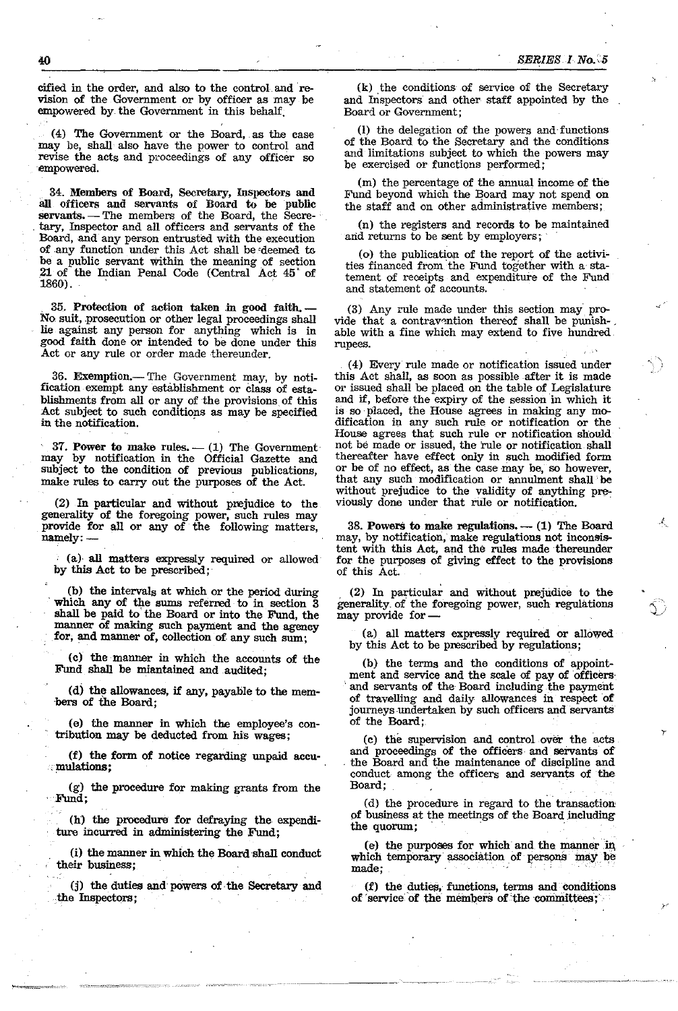cified in the order, and also to the control and revision of the Government or by officer as may be empowered by the Government in this behalf.

(4) The Government or the Board, as the case may be, shall also have the power to control and revise the acts and proceedings of any officer so ·empowered.

. 34. Members of Board, Secretary, Inspectors and all officers and servants of Board to be public servants. - The members of the Board, the Secretary, Inspector and all officers and servants of the Board, and any person entrusted with the execution of any function under this Act shall be'deemed *w*  be a public servant within the meaning of section .21 of the Indian Penal Code (Central Act 45' of 1860). .

35. Protection of action taken in good faith. No suit, prosecution or other legal proceedings shall lie against any person for anything which is in good faith done or intended to be done under this Act or any rule or order made thereunder.

36. Exemption.- The Government may, by notification exempt any establishment or Class of establishments from all or any of the provisions of this Act subject to such conditions as may be specified in the notification.

37. Power to make rules.  $- (1)$  The Government may by notification in the Official Gazette and subject to the condition of previous publications, make rules to carry out the purposes of the Act.

(2) In particular and without prejudice to the generality of the foregoing power, such rules may provide for all or any of the following matters, namely: -

(a) all matters expressly required or allowed by this Act to be prescribed;

(b) the intervals at which or the period during which any of the sums referred to in section 3 shall be paid to the Board or into the Fund, the manner of making such payment and the agency for, and manner of, collection of any such sum;

(c) the manner in which the accounts of the Fund shall be miantained and audited;

(d) the allowances, if any, payable to the mem- ·hers of the Board;

(e) the manner in which the employee's contribution may be deducted from his wages;

(f) the form of notice regarding unpaid accu-<br> $\mathbb{R}$  mulations: Fund shall be miantained and audited;<br>
(d) the allowances, if any, payable to the mem-<br>
of the Board;<br>
(e) the manner in which the employee's con-<br>
tribution may be deducted from his wages;<br>
(f) the form of notice regardi

(g) the procedure for making grants from the Fund;

(h) the procedure for defraying the expenditure incurred in administering the Fund;

(i) the manner in which the Board shall conduct their business;

(j) the duties and powers of the Secretary and the Inspectors;

(k) the conditions of service of the Secretary and Inspectors and other staff appointed by the Board or Government;

(I) the delegation of the powers and functions of the Board to the Secretary and the conditions and limitations subject to which the powers may be exercised or functions performed;

(m) the percentage of the annual income of the Fund beyond which the Board may not spend on the staff and on other administrative members;

(n) the registers and records to be maintained and returns to be sent by employers;

(0) the publication of the report of the activities financed from the Fund together with a statement of receipts and expenditure of the Fund and statement of accounts.

(3) Any rule made under this section may provide that a contravention thereof shall be punishable with a fine which may extend to five hundred rupees.

(4) Every rule made or notification issued under this Act shall, as soon as possible after it is made or issued shall be placed on the table of Legislature and if, before the expiry of the session in which it is so placed, the House agrees in making any modification in any such rule or notification or the House agrees that such rule or notification should not be made or issued, the rule or notification shall thereafter have effect only in such modified form or be of no effect, as the case may be, so however, that any such modification or annulment shall be without prejudice to the validity of anything previously done under that rule or notification. .

38. Powers to make regulations.  $-$  (1) The Board may, by notification, make regulations not inconsistent with this Act, and the rules made thereunder for the purposes of giving effect to the provisions of this Act.

(2) In particular and without prejudice to the generality. of the foregoing power, such regulations may provide for-

(a) all matters expressly required or allowed by this Act to be prescribed by regulations;

(b) the terms and the conditions of appointment and service and the scale of pay of officers· and servants of the Board including the payment of travelling and daily allowances in respect of journeys undertaken by such officers and servants of the Board;.

(c) the supervision and control over the acts and proceedings of the officers and servants of the Board and the maintenance of discipline and conduct among the officers and servants of the Board; .

(d) the procedure in regard to the transaction of business at the meetings of the Board including the quorum;

(e) the purposes for which and the manner in which temporary association of persons may be  $\text{made};$  . The state of  $\mathbb{R}^n$  is the state of  $\mathbb{R}^n$  ,  $\mathbb{R}^n$  is the state of  $\mathbb{R}^n$ 

 $(f)$  the duties, functions, terms and conditions of service of the members of the committees;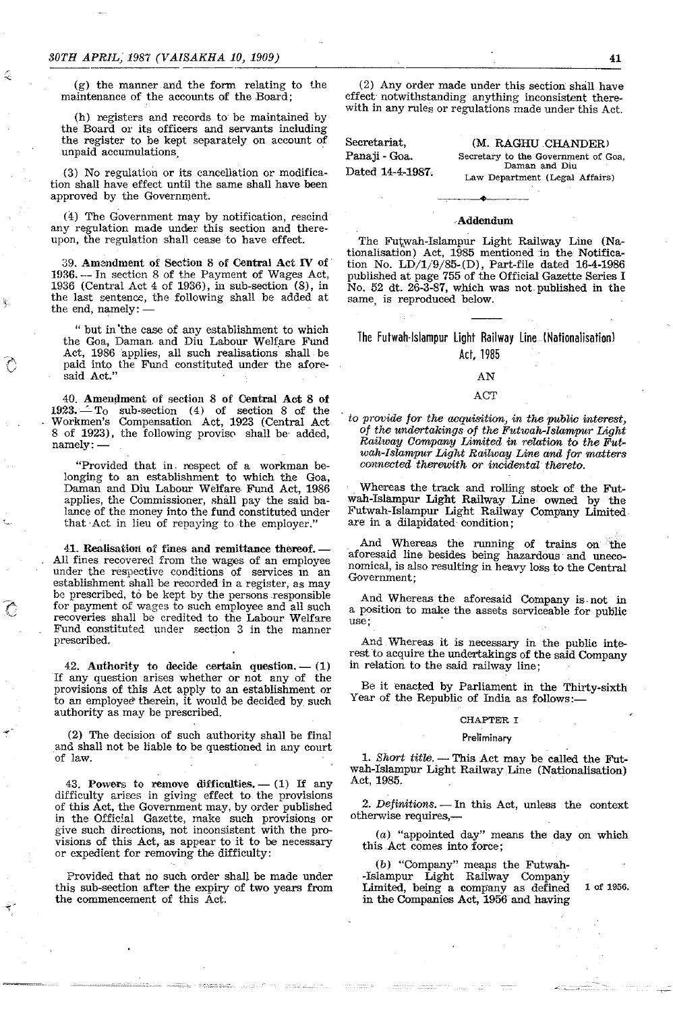$(g)$  the manner and the form relating to the maintenance of the accounts of the Board;

(h) registers and records to be maintained by the Board or its officers and servants including the register to be kept separately on account of unpaid accumulations.

(3) No regulation or its cancellation or modification shall have effect until the same shall have been approved by the Government.

(4) The Government may by notification, rescind any regulation made under this section and thereupon, the regulation shall cease to have effect.

39. Amendment of Section 8 of Central Act IV of' 1936. -- In section 8 of the Payment of Wages Act, 1936 (Central Act 4 of 1936), in sub-section (8), in the last sentence, the following shall be added at the end, namely:-

" but in'the case of any establishment to which the Goa, Daman. and Diu Labour Welfare Fund Act, 1986 applies, all such realisations shall be paid into the Fund constituted under the aforesaid Act."

40. Amendment of section 8 of Central Act 8 of  $1923. - T_0$  sub-section (4) of section 8 of the Workmen's Compensation Act, 1923 (Central Act 8 of 1923), the following provise shall be added, namely:-

"Provided that in. respect of a workman belonging to an establishment to which the Goa, Daman and Diu Labour Welfare Fund Act, 1986 applies, the Commissioner, shall pay the said balance of the money into the fund constituted under that Act in lieu of repaying to the employer."

41. Realisation of fines and remittance thereof.- All fines recovered from the wages of an employee under the respective conditions of services in an establishment shall be recorded in a register, as may be prescribed, to be kept by the persons responsible for payment of wages to such employee and all such recoveries shall be credited to the Labour Welfare Fund constituted under section 3 in the manner prescribed.

42. Authority to decide certain question.  $- (1)$ If any question arises whether or not any of the provisions of this Act apply to an establishment or to an employee therein, it would be decided by such authority as may be prescribed.

(2) The decision of such authority shall be final and shall not be liable to be questioned in any court of law.

43. Powers to remove difficulties.  $- (1)$  If any difficulty arises in giving effect to the provisions of this Act, the Government may, by order published in the Official Gazette, make such provisions or give such directions, not inconsistent with the provisions of this Act, as appear to it to be necessary or expedient for removing the difficulty:

Provided that no such order shal) be made under this sub-section after the expiry of two years from the commencement of this Act.

(2) Any order made under this section shall have effect notwithstanding anything inconsistent therewith in any rules or regulations made under this Act.

Secretariat, Panaji - Goa. Dated 14-4-1987;

--------------~------------------------~-----

(M. RAGHU CHANDER) **Secretary to the Government of Goa, Daman and Diu Law Department (Legal Affairs)** 

# -Addendum

The Futwah-Islampur Light Railway Line (Nationalisation) Act, 1985 mentioned in the Notification No. LD/1/9/85-(D), Part-file dated 16-4·1986 published at page 755 of the Officiai Gazette Series I No. 52 dt. 26-3-87, which was not. published in the same, is reproduced below.

The Futwah-Islampur Light Railway Line (Nationalisation) Act, 1985

## AN

## ACT

to *provide for the acquisition, in the pUblic interest,*  of *the undertakings* of *the Futwah-Islampur Light Railway Company Limited in relation to the Futwah-Islampur Light Railway Line and for matters coonected therewith* or *incidental thereto.* 

Whereas the track and rolling stack of the Futwah-Islampur Light Railway Line owned by the Futwah-Islampur Light Railway Company Limited are in a dilapidated condition;

And Whereas the running of trains on the aforesaid line besides being hazardous and uneconomical, is also resulting in heavy loss to the Central **Government;** 

And Whereas the aforesaid Company is.not in a position to make the assets serviceable for public **use; .** 

And Whereas it is necessary in the public interest to acquire the undertakings of the said Company in relation to the said railway line;

Be it 'enacted by Parliament in the Thirty-sixth Year of the Republic of India as follows:-

#### CHAPTER I

#### **Preliminary**

1. Short title. - This Act may be called the Futwah-Islampur Light Railway Line (Nationalisation) Act, 1985.

2. Definitions. - In this Act, unless the context otherwise requires,-

(a) "appointed day" means the day on which this Act comes into force;

 $(b)$  "Company" means the Futwah--Islampur Light Railway Company Limited, being a company as defined 1 of 1956. in the Companies Act, 1956 and having

-',-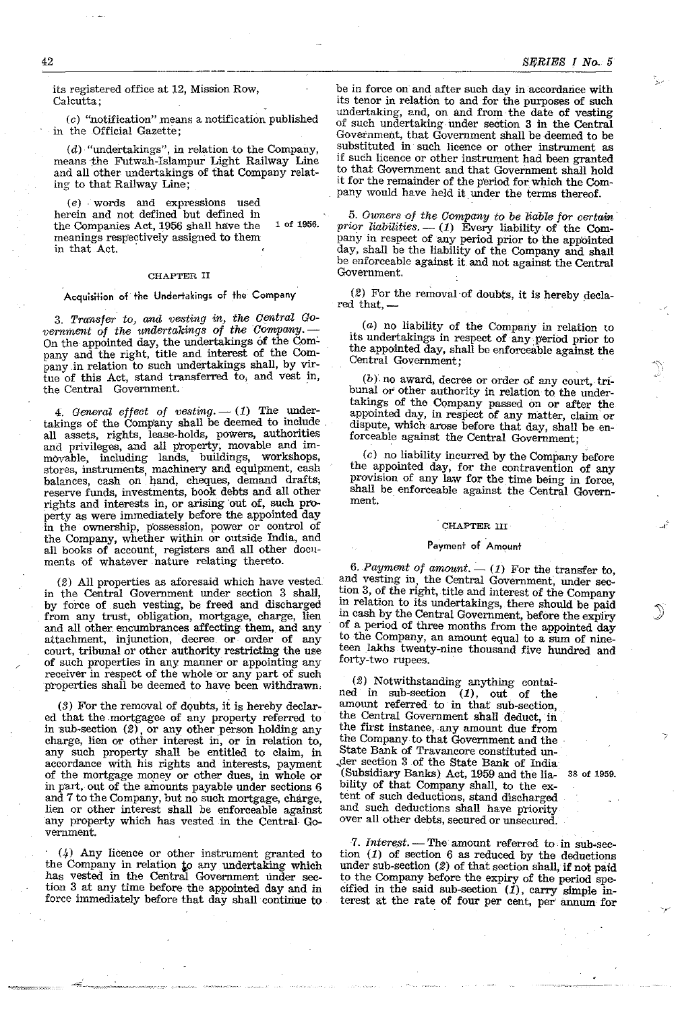its registered office at 12, Mission Row, Calcutta;

(c) "notification" means a notification published in the Official Gazette;

(d) "undertakings", in relation to the Company, means the Futwah-Islampur Light Railway Line and all other undertakings of that Company relating to that Railway Line;

(e) . words and expressions used herein and not defined but defined in the Companies Act, 1956 shall have the 1 of 1956. meanings respectively assigned to them in that Act.

#### CHAPTER II

## Acquisition of the Undertakings of the Company

*3. Tro:nsfer to, and vesting in, the Central* Go $v$ ernment of the *undertakings* of the *Company.* On the appointed day, the undertakings of the Com: pany and the right, title and interest of the Company in relation to such undertakings shall, by virtue of this Act, stand transferred to, and vest in, the Central Government.

*4. General effect of vesting.* - (1) The undertakings of the Company shall be deemed to include.<br>all assets, rights, lease-holds, powers, authorities all assets, rights, lease-holds, powers, authorities and privileges, and all property, movable and immovable, including lands, buildings, workshops, stores, instruments, machinery and equipment, cash balances, cash on hand, cheques, demand drafts; reserve funds, investments, book debts and all other rights and interests in, or arising out of, such property as were immediately before the appointed day in the ownership, p'ossession, power or control of the Company, whether within or outside India, and all books of account, registers and all other documents of whatever nature relating thereto.

(2) All properties as aforesaid which have vested. in the Central Government under section 3 shall, by force of such vesting, be freed and discharged from any trust, obligation, mortgage, charge, lien and all other encumbrances affecting them, and any attachment, injunction, decree or order of any court, tribunal or other authority restricting the use of such properties in any manner or appointing any receiver in respect of the whole or any part of such properties shall be deemed to have been withdrawn.

(3) For the removal of dQubts, it is hereby declared that the mortgagee of any property referred to in  $sub-section (2)$ , or any other person holding any charge, lien or other interest in, or in relation to, any such property shall be entitled to claim, in accordance with his rights and interests, payment of the mortgage mopey or other dues, in whole or in part, out of the amounts payable under sections 6 and 7 to the Company, but no such mortgage, charge, lien or other interest shall be enforceable against any property which has vested in the Central Government.

. (4) Any licence or other instrument granted to the Company in relation to any undertaking which has vested in the Central Government under section 3 at any time before the appointed day and in force immediately before that day shall continue to be in force on and after such day in accordance with its tenor in relation to and for the purposes of such undertaking, and, on and from the date of vesting of such undertaking under section 3 in the Central Government, that Government shall be deemed to be substituted in such licence or other instrument as if such licence or other instrument had been granted to that Government and that Government shall hold it for the remainder of the period for which the Company would have held it under the terms thereof.

5. *Owners of the Company to be liable for certain prior liabilities.* — (1) Every liability of the Company in respect of any period prior to the appointed day, shall be the liability of the Company and shalt be enforceable agalnst it and not against the Central Government.

 $(2)$  For the removal of doubts, it is hereby decla-red that,  $-$ 

(a) no liability of the Company in relation to its undertakings in respect of any period prior to the appomted day, shall be enforceable against the Central Government; .

 $(b)$  no award, decree or order of any court, tribunal or other authority in relation to the undertakings of the Company passed on or after the appointed day, in respect of any matter, clalm or dispute, which arose before that day, shall be enforceable against the Central Government;

 $(c)$  no liability incurred by the Company before the appointed day, for the contravention of any provision of any law for the time being in force, shall be enforceable against the Central Government.

#### CHAPTER III

#### Payment of Amount

6. Payment of amount.  $- (1)$  For the transfer to, and vesting in, the Central Government, under section 3, of the right, title and interest of the Company in relation to its undertakings, there should be paid in cash by the Central Government, before the expiry of a period of three months from the appointed day to the Company, an amount equal to a sum of nineteen lakhs twenty-nine thousand five hundred and forty-two rupees.

(2) Notwithstanding anything contained in sub-section  $(1)$ , out of the amount referred to in that sub-section, the Central Government shall deduct, in the first instance, any amount due from the Company to that Government and the ' State Bank of Travancore constituted un- ~der section 3 of the State Bank of India (Subsidiary Banks) Act, 1959 and the lia- 38 of 1959. bility of that Company shall, to the extent of such deductions, stand discharged and such deductions shall have priority over all other debts, secured or unsecured.

7. Interest. — The amount referred to in sub-section  $(1)$  of section 6 as reduced by the deductions under sub-section (2) of that section shall, if not paid to the Company before the expiry of the period specified in the said sub-section  $(i)$ , carry simple interest at the rate of four per cent, per' annum for

42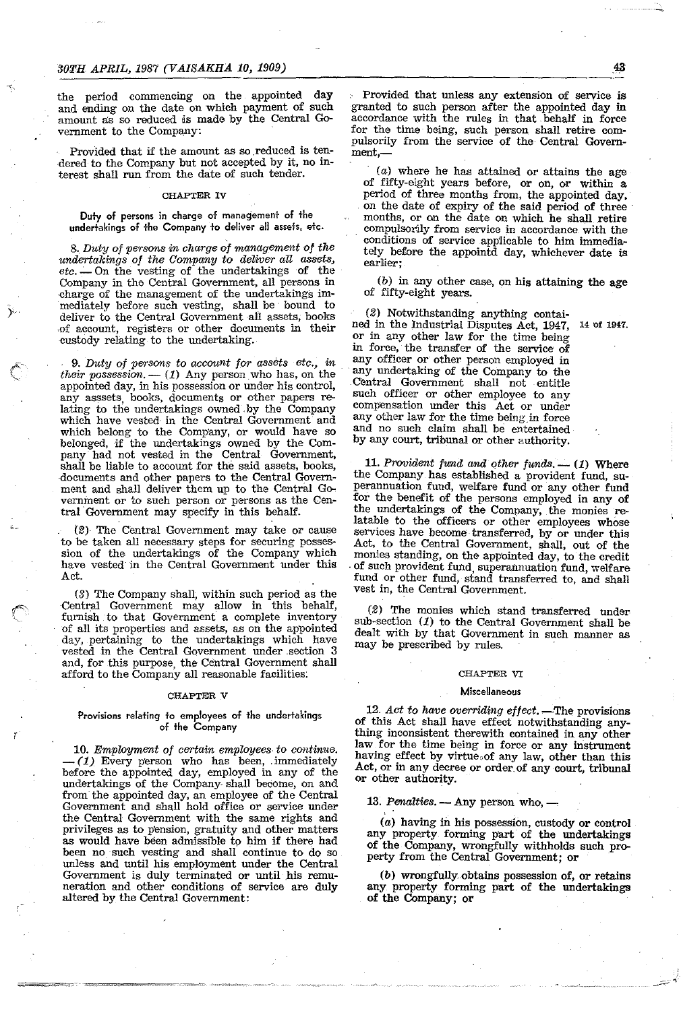the period commencing on the appointed day and ending on the date on which payment of such amount as so reduced is made by the Central Government to the Company:

Provided that if the amount as so reduced is tendered to the Company but not accepted by it, no interest shall run from the date of such tender.

## CHAPTER IV

Duty of persons in charge of management of the undertakings of the Company to deliver all assets, etc.

8. Duty of persons in charge of management of the *undertakings of the Company to deliver an assets, etc .* .:.-. On the vesting of the undertakings of the Company in the Central Government, all persons in .charge of the management of the undertakings immediately before such vesting, shall be' bound to deliver to the Central Government all assets, books of account, registers or other documents in their eustody relating to the undertaking.

9. Duty of persons to account for assets etc., in their possession. — (1) Any person who has, on the appointed day, in his possession or under his control, any asssets, books, doeuments or other papers relating to the undertakings owned. by the Company which have vested in the Central Government and which belong to the Company, or would have so belonged, jf the undertakings owned by the Company had not vested in the Central Government, shall be liable to account for the said assets, books, documents and other papers to the Central Government and shall deliver them up to the Central Government or to such person or persons as the Central Government may sp'ecify in this behalf.

(2), The Central Government may take or cause to be taken all necessary steps for securing possession of the undertakings of the Company which have vested'in the Central Government under this Act.

(3) The Company shall, within such period as the Central Government may allow in this behalf, furnish to that Government a complete inventory of all its properties and assets, as on the appointed day, pertaining to the undertakings which have vested in the Central Government under ,section 3 and, for this purpose, the Central Government shall afford to the Company all reasonable facilities:

#### CHAPTER V

### Provisions relating to employees of the undertakings of the Company

r

*10. Employment of certain employees to continue.*  $(1)$  Every person who has been, immediately before the appointed day, employed in any of the undertakings of the Company. shall become, on and from the appointed day, an employee of the Central Government and shall hold office or service under the Central Government with the same rights and privileges as to p'ension, gratuity and other matters as would have been admissible to him if there had been no such vesting and shalf continue to do so unless and until his employment under the Central Government is duly terminated or until his remuneration and other conditions of service are duly altered by the Central Government:

Provided that unless any extension of service is granted to such person after the appointed day in accordance with the rules in that, behalf in force for the time being, such person shall retire compulsorily from the service of the Central Government,-

 $(a)$  where he has attained or attains the age of fifty-eight years before, or on, or within a period of three months from, the appointed day, on the date of expiry of the said period of three months, or on the date on which he shall retire compulsorily from service in accordance with the conditions of service app1icable to him immediately before the appointd day, whichever date is **eartier;** 

(b) in any other case, on his attaining the age of fifty-eight years.

(2) Notwithstanding anything contained in the Industrial Disputes Act, 1947, 14 of 1947. or in any other law for the time being m force, the transfer of the service of any officer or other person employed in any undertaking of the Company to the Central Government shall not entitle such officer or other employee to any compensation under this Act or under any other law for the time being in force and no such claim shall be entertained by any court, tribunal or other authority.

11. Provident fund and other funds. - (1) Where the Company has established a provident fund, superannuation fund, welfare fund or any other fund for the benefit of the persons employed in any of the undertakings of the Company, the monies relatable to the officers or other employees whose services have become transferred, by or under this Act, to the Central Government, shall, out of the monies standing, on the appointed day, to the credit of such provident fund, superannuation fund, welfare fund or other fund, stand transferred to, and shall vest in, the Central Government.

(2) The monies which stand transferred under sub-section  $(1)$  to the Central Government shall be dealt with by that Government in such manner as may be prescribed by rules.

## CHAPTER VI

#### **Miscellaneous**

12. Act to have overriding effect. —The provisions of this Act shall have effect notwithstanding anything inconsistent therewith contained in any other law for the time being in force or any instrument having effect by virtue of any law, other than this Act, or in any decree or order. of any court, tribunal or other authority.

13. Penalties. — Any person who, —

(a) having in his possession, custody or control any property, forming part of the undertakings of the Company, wrongfully withholds such property from the Central Government; or

(b) wrongfully. obtains possession of, or retains any property forming part of the undertakings of the Company; or